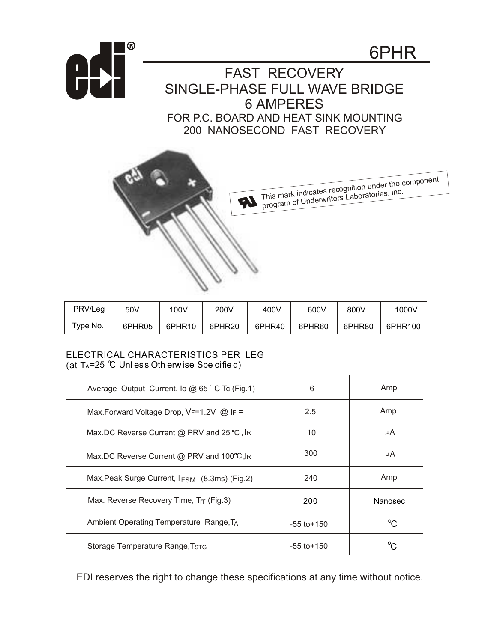

| PRV/Leg        | 50V    | 100V               | 200V   | 400V   | 600V   | 800V   | 1000V   |
|----------------|--------|--------------------|--------|--------|--------|--------|---------|
| $\tau$ ype No. | 6PHR05 | 6PHR <sub>10</sub> | 6PHR20 | 6PHR40 | 6PHR60 | 6PHR80 | 6PHR100 |

## ELECTRICAL CHARACTERISTICS PER LEG (at  $T_A = 25$  °C Unl ess Oth erw ise Spe cified)

| Average Output Current, lo @ 65 °C Tc (Fig.1)            | 6               | Amp          |
|----------------------------------------------------------|-----------------|--------------|
| Max.Forward Voltage Drop, VF=1.2V @ IF =                 | 2.5             | Amp          |
| Max.DC Reverse Current @ PRV and 25 ℃, IR                | 10              | μA           |
| Max.DC Reverse Current @ PRV and 100°C, IR               | 300             | μA           |
| Max.Peak Surge Current, I <sub>FSM</sub> (8.3ms) (Fig.2) | 240             | Amp          |
| Max. Reverse Recovery Time, Trr (Fig.3)                  | 200             | Nanosec      |
| Ambient Operating Temperature Range, TA                  | $-55$ to $+150$ | $^{\circ}$ C |
| Storage Temperature Range, TSTG                          | $-55$ to $+150$ |              |

EDI reserves the right to change these specifications at any time without notice.